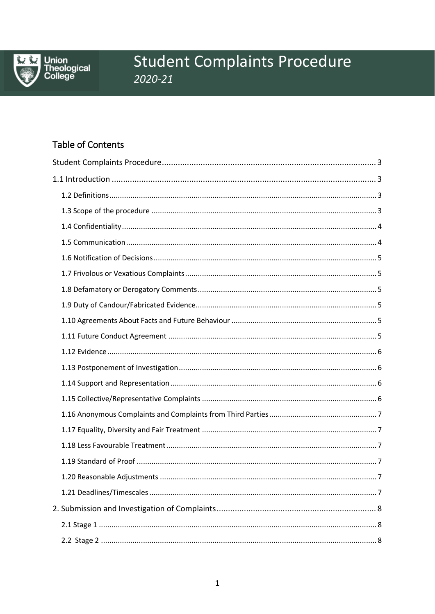

Union<br>Theological<br>College

# **Student Complaints Procedure** 2020-21

# **Table of Contents**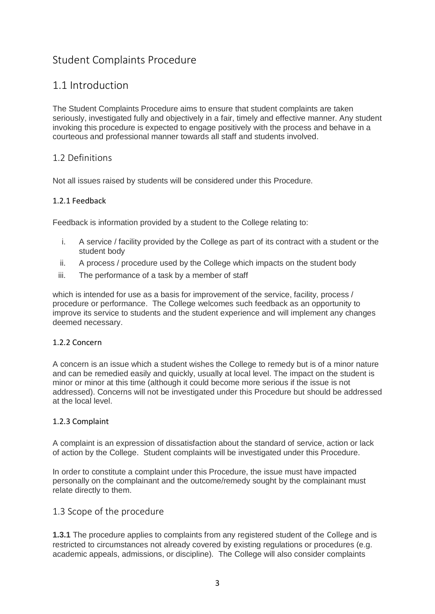# <span id="page-2-0"></span>Student Complaints Procedure

# <span id="page-2-1"></span>1.1 Introduction

The Student Complaints Procedure aims to ensure that student complaints are taken seriously, investigated fully and objectively in a fair, timely and effective manner. Any student invoking this procedure is expected to engage positively with the process and behave in a courteous and professional manner towards all staff and students involved.

#### <span id="page-2-2"></span>1.2 Definitions

Not all issues raised by students will be considered under this Procedure.

#### 1.2.1 Feedback

Feedback is information provided by a student to the College relating to:

- i. A service / facility provided by the College as part of its contract with a student or the student body
- ii. A process / procedure used by the College which impacts on the student body
- iii. The performance of a task by a member of staff

which is intended for use as a basis for improvement of the service, facility, process / procedure or performance. The College welcomes such feedback as an opportunity to improve its service to students and the student experience and will implement any changes deemed necessary.

#### 1.2.2 Concern

A concern is an issue which a student wishes the College to remedy but is of a minor nature and can be remedied easily and quickly, usually at local level. The impact on the student is minor or minor at this time (although it could become more serious if the issue is not addressed). Concerns will not be investigated under this Procedure but should be addressed at the local level.

#### 1.2.3 Complaint

A complaint is an expression of dissatisfaction about the standard of service, action or lack of action by the College. Student complaints will be investigated under this Procedure.

In order to constitute a complaint under this Procedure, the issue must have impacted personally on the complainant and the outcome/remedy sought by the complainant must relate directly to them.

#### <span id="page-2-3"></span>1.3 Scope of the procedure

**1.3.1** The procedure applies to complaints from any registered student of the College and is restricted to circumstances not already covered by existing regulations or procedures (e.g. academic appeals, admissions, or discipline). The College will also consider complaints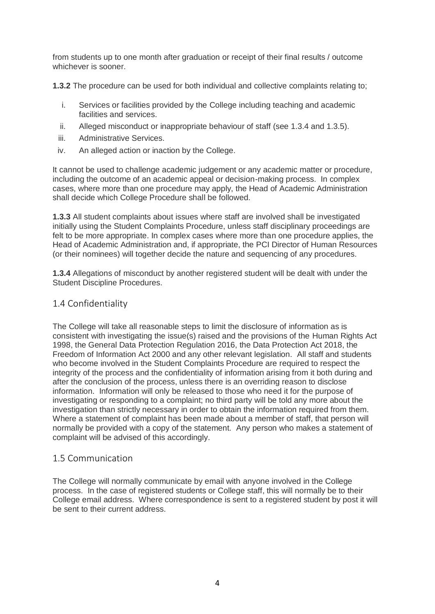from students up to one month after graduation or receipt of their final results / outcome whichever is sooner.

**1.3.2** The procedure can be used for both individual and collective complaints relating to;

- i. Services or facilities provided by the College including teaching and academic facilities and services.
- ii. Alleged misconduct or inappropriate behaviour of staff (see 1.3.4 and 1.3.5).
- iii. Administrative Services.
- iv. An alleged action or inaction by the College.

It cannot be used to challenge academic judgement or any academic matter or procedure, including the outcome of an academic appeal or decision-making process. In complex cases, where more than one procedure may apply, the Head of Academic Administration shall decide which College Procedure shall be followed.

**1.3.3** All student complaints about issues where staff are involved shall be investigated initially using the Student Complaints Procedure, unless staff disciplinary proceedings are felt to be more appropriate. In complex cases where more than one procedure applies, the Head of Academic Administration and, if appropriate, the PCI Director of Human Resources (or their nominees) will together decide the nature and sequencing of any procedures.

**1.3.4** Allegations of misconduct by another registered student will be dealt with under the Student Discipline Procedures.

### <span id="page-3-0"></span>1.4 Confidentiality

The College will take all reasonable steps to limit the disclosure of information as is consistent with investigating the issue(s) raised and the provisions of the Human Rights Act 1998, the General Data Protection Regulation 2016, the Data Protection Act 2018, the Freedom of Information Act 2000 and any other relevant legislation. All staff and students who become involved in the Student Complaints Procedure are required to respect the integrity of the process and the confidentiality of information arising from it both during and after the conclusion of the process, unless there is an overriding reason to disclose information. Information will only be released to those who need it for the purpose of investigating or responding to a complaint; no third party will be told any more about the investigation than strictly necessary in order to obtain the information required from them. Where a statement of complaint has been made about a member of staff, that person will normally be provided with a copy of the statement. Any person who makes a statement of complaint will be advised of this accordingly.

#### <span id="page-3-1"></span>1.5 Communication

The College will normally communicate by email with anyone involved in the College process. In the case of registered students or College staff, this will normally be to their College email address. Where correspondence is sent to a registered student by post it will be sent to their current address.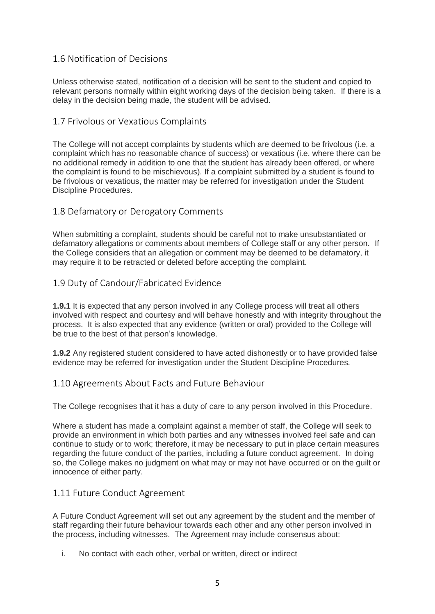### <span id="page-4-0"></span>1.6 Notification of Decisions

Unless otherwise stated, notification of a decision will be sent to the student and copied to relevant persons normally within eight working days of the decision being taken. If there is a delay in the decision being made, the student will be advised.

#### <span id="page-4-1"></span>1.7 Frivolous or Vexatious Complaints

The College will not accept complaints by students which are deemed to be frivolous (i.e. a complaint which has no reasonable chance of success) or vexatious (i.e. where there can be no additional remedy in addition to one that the student has already been offered, or where the complaint is found to be mischievous). If a complaint submitted by a student is found to be frivolous or vexatious, the matter may be referred for investigation under the Student Discipline Procedures.

#### <span id="page-4-2"></span>1.8 Defamatory or Derogatory Comments

When submitting a complaint, students should be careful not to make unsubstantiated or defamatory allegations or comments about members of College staff or any other person. If the College considers that an allegation or comment may be deemed to be defamatory, it may require it to be retracted or deleted before accepting the complaint.

#### <span id="page-4-3"></span>1.9 Duty of Candour/Fabricated Evidence

**1.9.1** It is expected that any person involved in any College process will treat all others involved with respect and courtesy and will behave honestly and with integrity throughout the process. It is also expected that any evidence (written or oral) provided to the College will be true to the best of that person's knowledge.

**1.9.2** Any registered student considered to have acted dishonestly or to have provided false evidence may be referred for investigation under the Student Discipline Procedures.

#### <span id="page-4-4"></span>1.10 Agreements About Facts and Future Behaviour

The College recognises that it has a duty of care to any person involved in this Procedure.

Where a student has made a complaint against a member of staff, the College will seek to provide an environment in which both parties and any witnesses involved feel safe and can continue to study or to work; therefore, it may be necessary to put in place certain measures regarding the future conduct of the parties, including a future conduct agreement. In doing so, the College makes no judgment on what may or may not have occurred or on the guilt or innocence of either party.

#### <span id="page-4-5"></span>1.11 Future Conduct Agreement

A Future Conduct Agreement will set out any agreement by the student and the member of staff regarding their future behaviour towards each other and any other person involved in the process, including witnesses. The Agreement may include consensus about:

i. No contact with each other, verbal or written, direct or indirect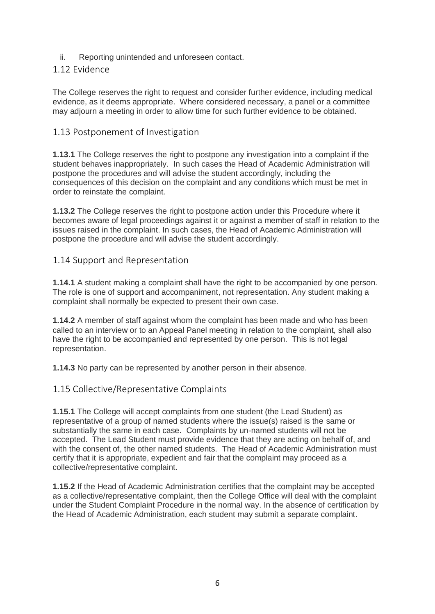ii. Reporting unintended and unforeseen contact.

#### <span id="page-5-0"></span>1.12 Evidence

The College reserves the right to request and consider further evidence, including medical evidence, as it deems appropriate. Where considered necessary, a panel or a committee may adjourn a meeting in order to allow time for such further evidence to be obtained.

#### <span id="page-5-1"></span>1.13 Postponement of Investigation

**1.13.1** The College reserves the right to postpone any investigation into a complaint if the student behaves inappropriately. In such cases the Head of Academic Administration will postpone the procedures and will advise the student accordingly, including the consequences of this decision on the complaint and any conditions which must be met in order to reinstate the complaint.

**1.13.2** The College reserves the right to postpone action under this Procedure where it becomes aware of legal proceedings against it or against a member of staff in relation to the issues raised in the complaint. In such cases, the Head of Academic Administration will postpone the procedure and will advise the student accordingly.

#### <span id="page-5-2"></span>1.14 Support and Representation

**1.14.1** A student making a complaint shall have the right to be accompanied by one person. The role is one of support and accompaniment, not representation. Any student making a complaint shall normally be expected to present their own case.

**1.14.2** A member of staff against whom the complaint has been made and who has been called to an interview or to an Appeal Panel meeting in relation to the complaint, shall also have the right to be accompanied and represented by one person. This is not legal representation.

**1.14.3** No party can be represented by another person in their absence.

### <span id="page-5-3"></span>1.15 Collective/Representative Complaints

**1.15.1** The College will accept complaints from one student (the Lead Student) as representative of a group of named students where the issue(s) raised is the same or substantially the same in each case. Complaints by un-named students will not be accepted. The Lead Student must provide evidence that they are acting on behalf of, and with the consent of, the other named students. The Head of Academic Administration must certify that it is appropriate, expedient and fair that the complaint may proceed as a collective/representative complaint.

**1.15.2** If the Head of Academic Administration certifies that the complaint may be accepted as a collective/representative complaint, then the College Office will deal with the complaint under the Student Complaint Procedure in the normal way. In the absence of certification by the Head of Academic Administration, each student may submit a separate complaint.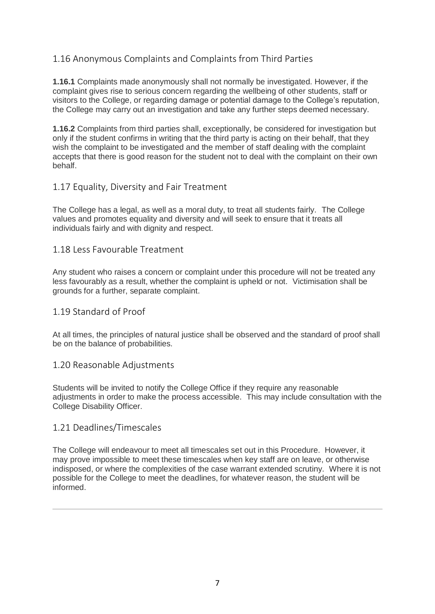# <span id="page-6-0"></span>1.16 Anonymous Complaints and Complaints from Third Parties

**1.16.1** Complaints made anonymously shall not normally be investigated. However, if the complaint gives rise to serious concern regarding the wellbeing of other students, staff or visitors to the College, or regarding damage or potential damage to the College's reputation, the College may carry out an investigation and take any further steps deemed necessary.

**1.16.2** Complaints from third parties shall, exceptionally, be considered for investigation but only if the student confirms in writing that the third party is acting on their behalf, that they wish the complaint to be investigated and the member of staff dealing with the complaint accepts that there is good reason for the student not to deal with the complaint on their own behalf.

#### <span id="page-6-1"></span>1.17 Equality, Diversity and Fair Treatment

The College has a legal, as well as a moral duty, to treat all students fairly. The College values and promotes equality and diversity and will seek to ensure that it treats all individuals fairly and with dignity and respect.

#### <span id="page-6-2"></span>1.18 Less Favourable Treatment

Any student who raises a concern or complaint under this procedure will not be treated any less favourably as a result, whether the complaint is upheld or not. Victimisation shall be grounds for a further, separate complaint.

#### <span id="page-6-3"></span>1.19 Standard of Proof

At all times, the principles of natural justice shall be observed and the standard of proof shall be on the balance of probabilities.

#### <span id="page-6-4"></span>1.20 Reasonable Adjustments

Students will be invited to notify the College Office if they require any reasonable adjustments in order to make the process accessible. This may include consultation with the College Disability Officer.

#### <span id="page-6-5"></span>1.21 Deadlines/Timescales

The College will endeavour to meet all timescales set out in this Procedure. However, it may prove impossible to meet these timescales when key staff are on leave, or otherwise indisposed, or where the complexities of the case warrant extended scrutiny. Where it is not possible for the College to meet the deadlines, for whatever reason, the student will be informed.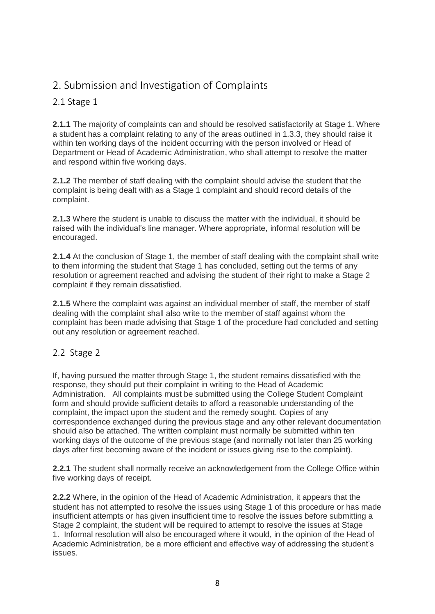# <span id="page-7-0"></span>2. Submission and Investigation of Complaints

### <span id="page-7-1"></span>2.1 Stage 1

**2.1.1** The majority of complaints can and should be resolved satisfactorily at Stage 1. Where a student has a complaint relating to any of the areas outlined in 1.3.3, they should raise it within ten working days of the incident occurring with the person involved or Head of Department or Head of Academic Administration, who shall attempt to resolve the matter and respond within five working days.

**2.1.2** The member of staff dealing with the complaint should advise the student that the complaint is being dealt with as a Stage 1 complaint and should record details of the complaint.

**2.1.3** Where the student is unable to discuss the matter with the individual, it should be raised with the individual's line manager. Where appropriate, informal resolution will be encouraged.

**2.1.4** At the conclusion of Stage 1, the member of staff dealing with the complaint shall write to them informing the student that Stage 1 has concluded, setting out the terms of any resolution or agreement reached and advising the student of their right to make a Stage 2 complaint if they remain dissatisfied.

**2.1.5** Where the complaint was against an individual member of staff, the member of staff dealing with the complaint shall also write to the member of staff against whom the complaint has been made advising that Stage 1 of the procedure had concluded and setting out any resolution or agreement reached.

### <span id="page-7-2"></span>2.2 Stage 2

If, having pursued the matter through Stage 1, the student remains dissatisfied with the response, they should put their complaint in writing to the Head of Academic Administration. All complaints must be submitted using the College Student Complaint form and should provide sufficient details to afford a reasonable understanding of the complaint, the impact upon the student and the remedy sought. Copies of any correspondence exchanged during the previous stage and any other relevant documentation should also be attached. The written complaint must normally be submitted within ten working days of the outcome of the previous stage (and normally not later than 25 working days after first becoming aware of the incident or issues giving rise to the complaint).

**2.2.1** The student shall normally receive an acknowledgement from the College Office within five working days of receipt.

**2.2.2** Where, in the opinion of the Head of Academic Administration, it appears that the student has not attempted to resolve the issues using Stage 1 of this procedure or has made insufficient attempts or has given insufficient time to resolve the issues before submitting a Stage 2 complaint, the student will be required to attempt to resolve the issues at Stage 1. Informal resolution will also be encouraged where it would, in the opinion of the Head of Academic Administration, be a more efficient and effective way of addressing the student's issues.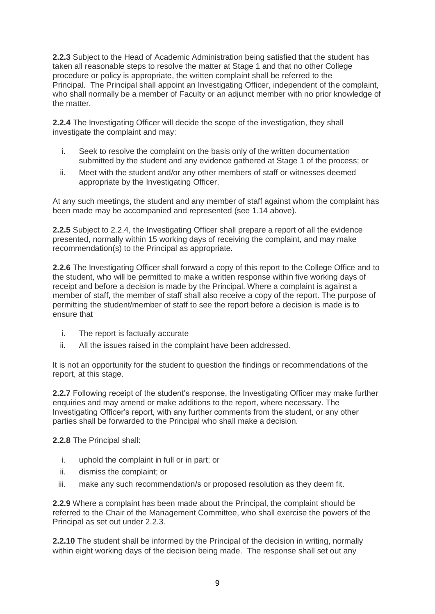**2.2.3** Subject to the Head of Academic Administration being satisfied that the student has taken all reasonable steps to resolve the matter at Stage 1 and that no other College procedure or policy is appropriate, the written complaint shall be referred to the Principal. The Principal shall appoint an Investigating Officer, independent of the complaint, who shall normally be a member of Faculty or an adjunct member with no prior knowledge of the matter.

**2.2.4** The Investigating Officer will decide the scope of the investigation, they shall investigate the complaint and may:

- i. Seek to resolve the complaint on the basis only of the written documentation submitted by the student and any evidence gathered at Stage 1 of the process; or
- ii. Meet with the student and/or any other members of staff or witnesses deemed appropriate by the Investigating Officer.

At any such meetings, the student and any member of staff against whom the complaint has been made may be accompanied and represented (see 1.14 above).

**2.2.5** Subject to 2.2.4, the Investigating Officer shall prepare a report of all the evidence presented, normally within 15 working days of receiving the complaint, and may make recommendation(s) to the Principal as appropriate.

**2.2.6** The Investigating Officer shall forward a copy of this report to the College Office and to the student, who will be permitted to make a written response within five working days of receipt and before a decision is made by the Principal. Where a complaint is against a member of staff, the member of staff shall also receive a copy of the report. The purpose of permitting the student/member of staff to see the report before a decision is made is to ensure that

- i. The report is factually accurate
- ii. All the issues raised in the complaint have been addressed.

It is not an opportunity for the student to question the findings or recommendations of the report, at this stage.

**2.2.7** Following receipt of the student's response, the Investigating Officer may make further enquiries and may amend or make additions to the report, where necessary. The Investigating Officer's report, with any further comments from the student, or any other parties shall be forwarded to the Principal who shall make a decision.

**2.2.8** The Principal shall:

- i. uphold the complaint in full or in part; or
- ii. dismiss the complaint; or
- iii. make any such recommendation/s or proposed resolution as they deem fit.

**2.2.9** Where a complaint has been made about the Principal, the complaint should be referred to the Chair of the Management Committee, who shall exercise the powers of the Principal as set out under 2.2.3.

**2.2.10** The student shall be informed by the Principal of the decision in writing, normally within eight working days of the decision being made. The response shall set out any